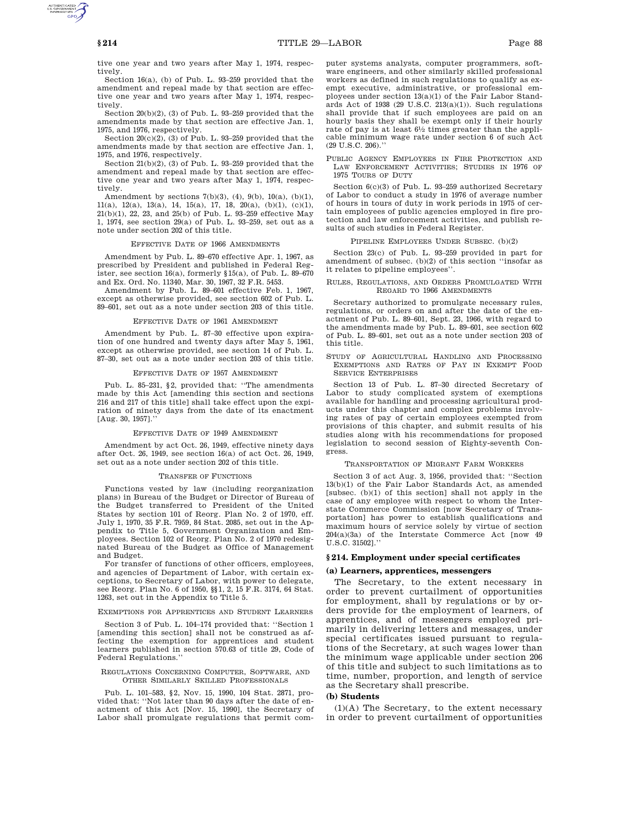tive one year and two years after May 1, 1974, respectively.

Section 16(a), (b) of Pub. L. 93–259 provided that the amendment and repeal made by that section are effective one year and two years after May 1, 1974, respectively.

Section 20(b)(2), (3) of Pub. L. 93–259 provided that the amendments made by that section are effective Jan. 1, 1975, and 1976, respectively.

Section  $20(c)(2)$ , (3) of Pub. L. 93-259 provided that the amendments made by that section are effective Jan. 1, 1975, and 1976, respectively.

Section 21(b)(2), (3) of Pub. L. 93–259 provided that the amendment and repeal made by that section are effective one year and two years after May 1, 1974, respectively.

Amendment by sections  $7(b)(3)$ ,  $(4)$ ,  $9(b)$ ,  $10(a)$ ,  $(b)(1)$ , 11(a), 12(a), 13(a), 14, 15(a), 17, 18, 20(a), (b)(1), (c)(1), 21(b)(1), 22, 23, and 25(b) of Pub. L. 93–259 effective May 1, 1974, see section 29(a) of Pub. L. 93–259, set out as a note under section 202 of this title.

#### EFFECTIVE DATE OF 1966 AMENDMENTS

Amendment by Pub. L. 89–670 effective Apr. 1, 1967, as prescribed by President and published in Federal Register, see section 16(a), formerly  $\S 15(a),$  of Pub. L. 89–670 and Ex. Ord. No. 11340, Mar. 30, 1967, 32 F.R. 5453.

Amendment by Pub. L. 89–601 effective Feb. 1, 1967, except as otherwise provided, see section 602 of Pub. L. 89–601, set out as a note under section 203 of this title.

#### EFFECTIVE DATE OF 1961 AMENDMENT

Amendment by Pub. L. 87–30 effective upon expiration of one hundred and twenty days after May 5, 1961, except as otherwise provided, see section 14 of Pub. L. 87–30, set out as a note under section 203 of this title.

## EFFECTIVE DATE OF 1957 AMENDMENT

Pub. L. 85–231, §2, provided that: ''The amendments made by this Act [amending this section and sections 216 and 217 of this title] shall take effect upon the expiration of ninety days from the date of its enactment [Aug. 30, 1957].'

#### EFFECTIVE DATE OF 1949 AMENDMENT

Amendment by act Oct. 26, 1949, effective ninety days after Oct. 26, 1949, see section 16(a) of act Oct. 26, 1949, set out as a note under section 202 of this title.

#### TRANSFER OF FUNCTIONS

Functions vested by law (including reorganization plans) in Bureau of the Budget or Director of Bureau of the Budget transferred to President of the United States by section 101 of Reorg. Plan No. 2 of 1970, eff. July 1, 1970, 35 F.R. 7959, 84 Stat. 2085, set out in the Appendix to Title 5, Government Organization and Employees. Section 102 of Reorg. Plan No. 2 of 1970 redesignated Bureau of the Budget as Office of Management and Budget.

For transfer of functions of other officers, employees, and agencies of Department of Labor, with certain exceptions, to Secretary of Labor, with power to delegate, see Reorg. Plan No. 6 of 1950, §§1, 2, 15 F.R. 3174, 64 Stat. 1263, set out in the Appendix to Title 5.

## EXEMPTIONS FOR APPRENTICES AND STUDENT LEARNERS

Section 3 of Pub. L. 104–174 provided that: ''Section 1 [amending this section] shall not be construed as affecting the exemption for apprentices and student learners published in section 570.63 of title 29, Code of Federal Regulations.''

### REGULATIONS CONCERNING COMPUTER, SOFTWARE, AND OTHER SIMILARLY SKILLED PROFESSIONALS

Pub. L. 101–583, §2, Nov. 15, 1990, 104 Stat. 2871, provided that: ''Not later than 90 days after the date of enactment of this Act [Nov. 15, 1990], the Secretary of Labor shall promulgate regulations that permit computer systems analysts, computer programmers, software engineers, and other similarly skilled professional workers as defined in such regulations to qualify as exempt executive, administrative, or professional employees under section 13(a)(1) of the Fair Labor Standards Act of 1938 (29 U.S.C. 213(a)(1)). Such regulations shall provide that if such employees are paid on an hourly basis they shall be exempt only if their hourly rate of pay is at least 61 ⁄2 times greater than the applicable minimum wage rate under section 6 of such Act (29 U.S.C. 206).''

PUBLIC AGENCY EMPLOYEES IN FIRE PROTECTION AND LAW ENFORCEMENT ACTIVITIES; STUDIES IN 1976 OF 1975 TOURS OF DUTY

Section  $6(c)(3)$  of Pub. L. 93-259 authorized Secretary of Labor to conduct a study in 1976 of average number of hours in tours of duty in work periods in 1975 of certain employees of public agencies employed in fire protection and law enforcement activities, and publish results of such studies in Federal Register.

### PIPELINE EMPLOYEES UNDER SUBSEC. (b)(2)

Section 23(c) of Pub. L. 93–259 provided in part for amendment of subsec. (b)(2) of this section ''insofar as it relates to pipeline employees''.

## RULES, REGULATIONS, AND ORDERS PROMULGATED WITH REGARD TO 1966 AMENDMENTS

Secretary authorized to promulgate necessary rules, regulations, or orders on and after the date of the enactment of Pub. L. 89–601, Sept. 23, 1966, with regard to the amendments made by Pub. L. 89–601, see section 602 of Pub. L. 89–601, set out as a note under section 203 of this title.

STUDY OF AGRICULTURAL HANDLING AND PROCESSING EXEMPTIONS AND RATES OF PAY IN EXEMPT FOOD SERVICE ENTERPRISES

Section 13 of Pub. L. 87–30 directed Secretary of Labor to study complicated system of exemptions available for handling and processing agricultural products under this chapter and complex problems involving rates of pay of certain employees exempted from provisions of this chapter, and submit results of his studies along with his recommendations for proposed legislation to second session of Eighty-seventh Congress.

### TRANSPORTATION OF MIGRANT FARM WORKERS

Section 3 of act Aug. 3, 1956, provided that: ''Section 13(b)(1) of the Fair Labor Standards Act, as amended [subsec. (b)(1) of this section] shall not apply in the case of any employee with respect to whom the Interstate Commerce Commission [now Secretary of Transportation] has power to establish qualifications and maximum hours of service solely by virtue of section 204(a)(3a) of the Interstate Commerce Act [now 49 U.S.C. 31502].''

## **§ 214. Employment under special certificates**

## **(a) Learners, apprentices, messengers**

The Secretary, to the extent necessary in order to prevent curtailment of opportunities for employment, shall by regulations or by orders provide for the employment of learners, of apprentices, and of messengers employed primarily in delivering letters and messages, under special certificates issued pursuant to regulations of the Secretary, at such wages lower than the minimum wage applicable under section 206 of this title and subject to such limitations as to time, number, proportion, and length of service as the Secretary shall prescribe.

# **(b) Students**

(1)(A) The Secretary, to the extent necessary in order to prevent curtailment of opportunities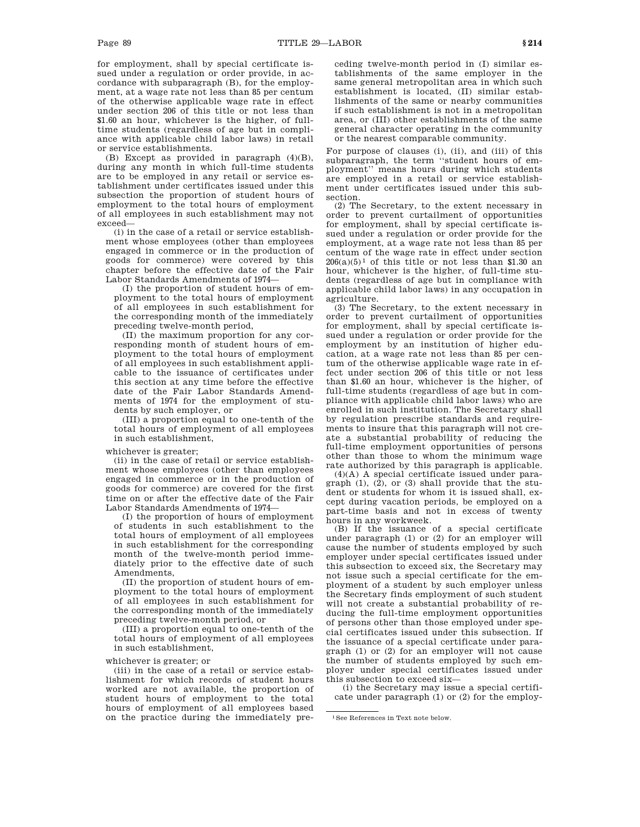for employment, shall by special certificate issued under a regulation or order provide, in accordance with subparagraph (B), for the employment, at a wage rate not less than 85 per centum of the otherwise applicable wage rate in effect under section 206 of this title or not less than \$1.60 an hour, whichever is the higher, of fulltime students (regardless of age but in compliance with applicable child labor laws) in retail or service establishments.

(B) Except as provided in paragraph (4)(B), during any month in which full-time students are to be employed in any retail or service establishment under certificates issued under this subsection the proportion of student hours of employment to the total hours of employment of all employees in such establishment may not exceed—

(i) in the case of a retail or service establishment whose employees (other than employees engaged in commerce or in the production of goods for commerce) were covered by this chapter before the effective date of the Fair Labor Standards Amendments of 1974—

(I) the proportion of student hours of employment to the total hours of employment of all employees in such establishment for the corresponding month of the immediately preceding twelve-month period,

(II) the maximum proportion for any corresponding month of student hours of employment to the total hours of employment of all employees in such establishment applicable to the issuance of certificates under this section at any time before the effective date of the Fair Labor Standards Amendments of 1974 for the employment of students by such employer, or

(III) a proportion equal to one-tenth of the total hours of employment of all employees in such establishment,

## whichever is greater;

(ii) in the case of retail or service establishment whose employees (other than employees engaged in commerce or in the production of goods for commerce) are covered for the first time on or after the effective date of the Fair Labor Standards Amendments of 1974—

(I) the proportion of hours of employment of students in such establishment to the total hours of employment of all employees in such establishment for the corresponding month of the twelve-month period immediately prior to the effective date of such Amendments,

(II) the proportion of student hours of employment to the total hours of employment of all employees in such establishment for the corresponding month of the immediately preceding twelve-month period, or

(III) a proportion equal to one-tenth of the total hours of employment of all employees in such establishment,

whichever is greater; or

(iii) in the case of a retail or service establishment for which records of student hours worked are not available, the proportion of student hours of employment to the total hours of employment of all employees based on the practice during the immediately pre-

ceding twelve-month period in (I) similar establishments of the same employer in the same general metropolitan area in which such establishment is located, (II) similar establishments of the same or nearby communities if such establishment is not in a metropolitan area, or (III) other establishments of the same general character operating in the community or the nearest comparable community.

For purpose of clauses (i), (ii), and (iii) of this subparagraph, the term ''student hours of employment'' means hours during which students are employed in a retail or service establishment under certificates issued under this subsection.

(2) The Secretary, to the extent necessary in order to prevent curtailment of opportunities for employment, shall by special certificate issued under a regulation or order provide for the employment, at a wage rate not less than 85 per centum of the wage rate in effect under section  $206(a)(5)^1$  of this title or not less than \$1.30 an hour, whichever is the higher, of full-time students (regardless of age but in compliance with applicable child labor laws) in any occupation in agriculture.

(3) The Secretary, to the extent necessary in order to prevent curtailment of opportunities for employment, shall by special certificate issued under a regulation or order provide for the employment by an institution of higher education, at a wage rate not less than 85 per centum of the otherwise applicable wage rate in effect under section 206 of this title or not less than \$1.60 an hour, whichever is the higher, of full-time students (regardless of age but in compliance with applicable child labor laws) who are enrolled in such institution. The Secretary shall by regulation prescribe standards and requirements to insure that this paragraph will not create a substantial probability of reducing the full-time employment opportunities of persons other than those to whom the minimum wage rate authorized by this paragraph is applicable.

(4)(A) A special certificate issued under paragraph (1), (2), or (3) shall provide that the student or students for whom it is issued shall, except during vacation periods, be employed on a part-time basis and not in excess of twenty hours in any workweek.

(B) If the issuance of a special certificate under paragraph (1) or (2) for an employer will cause the number of students employed by such employer under special certificates issued under this subsection to exceed six, the Secretary may not issue such a special certificate for the employment of a student by such employer unless the Secretary finds employment of such student will not create a substantial probability of reducing the full-time employment opportunities of persons other than those employed under special certificates issued under this subsection. If the issuance of a special certificate under paragraph (1) or (2) for an employer will not cause the number of students employed by such employer under special certificates issued under this subsection to exceed six—

(i) the Secretary may issue a special certificate under paragraph (1) or (2) for the employ-

<sup>1</sup>See References in Text note below.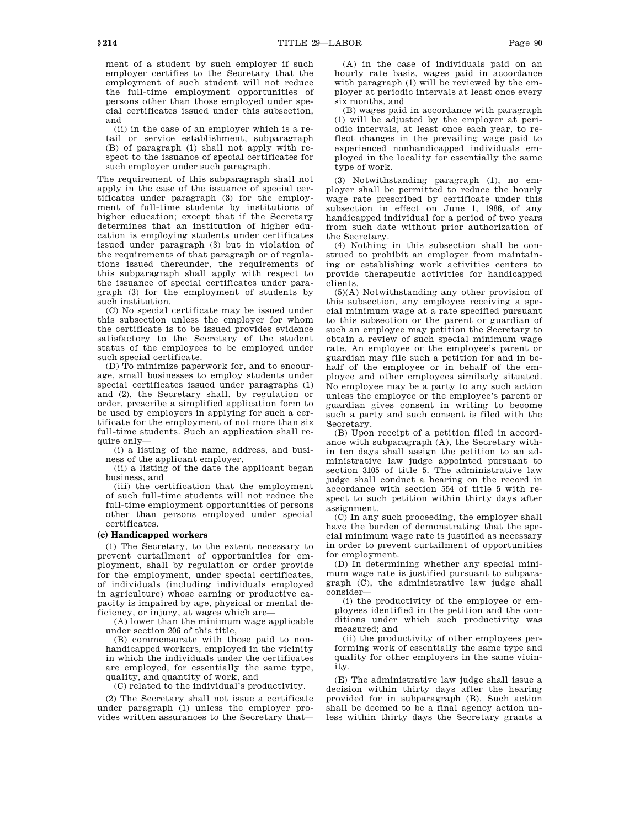ment of a student by such employer if such employer certifies to the Secretary that the employment of such student will not reduce the full-time employment opportunities of persons other than those employed under special certificates issued under this subsection, and

(ii) in the case of an employer which is a retail or service establishment, subparagraph (B) of paragraph (1) shall not apply with respect to the issuance of special certificates for such employer under such paragraph.

The requirement of this subparagraph shall not apply in the case of the issuance of special certificates under paragraph (3) for the employment of full-time students by institutions of higher education; except that if the Secretary determines that an institution of higher education is employing students under certificates issued under paragraph (3) but in violation of the requirements of that paragraph or of regulations issued thereunder, the requirements of this subparagraph shall apply with respect to the issuance of special certificates under paragraph (3) for the employment of students by such institution.

(C) No special certificate may be issued under this subsection unless the employer for whom the certificate is to be issued provides evidence satisfactory to the Secretary of the student status of the employees to be employed under such special certificate.

(D) To minimize paperwork for, and to encourage, small businesses to employ students under special certificates issued under paragraphs (1) and (2), the Secretary shall, by regulation or order, prescribe a simplified application form to be used by employers in applying for such a certificate for the employment of not more than six full-time students. Such an application shall require only—

(i) a listing of the name, address, and business of the applicant employer,

(ii) a listing of the date the applicant began business, and

(iii) the certification that the employment of such full-time students will not reduce the full-time employment opportunities of persons other than persons employed under special certificates.

# **(c) Handicapped workers**

(1) The Secretary, to the extent necessary to prevent curtailment of opportunities for employment, shall by regulation or order provide for the employment, under special certificates, of individuals (including individuals employed in agriculture) whose earning or productive capacity is impaired by age, physical or mental deficiency, or injury, at wages which are—

(A) lower than the minimum wage applicable under section 206 of this title,

(B) commensurate with those paid to nonhandicapped workers, employed in the vicinity in which the individuals under the certificates are employed, for essentially the same type, quality, and quantity of work, and

(C) related to the individual's productivity.

(2) The Secretary shall not issue a certificate under paragraph (1) unless the employer provides written assurances to the Secretary that—

(A) in the case of individuals paid on an hourly rate basis, wages paid in accordance with paragraph (1) will be reviewed by the employer at periodic intervals at least once every six months, and

(B) wages paid in accordance with paragraph (1) will be adjusted by the employer at periodic intervals, at least once each year, to reflect changes in the prevailing wage paid to experienced nonhandicapped individuals employed in the locality for essentially the same type of work.

(3) Notwithstanding paragraph (1), no employer shall be permitted to reduce the hourly wage rate prescribed by certificate under this subsection in effect on June 1, 1986, of any handicapped individual for a period of two years from such date without prior authorization of the Secretary.

(4) Nothing in this subsection shall be construed to prohibit an employer from maintaining or establishing work activities centers to provide therapeutic activities for handicapped clients.

(5)(A) Notwithstanding any other provision of this subsection, any employee receiving a special minimum wage at a rate specified pursuant to this subsection or the parent or guardian of such an employee may petition the Secretary to obtain a review of such special minimum wage rate. An employee or the employee's parent or guardian may file such a petition for and in behalf of the employee or in behalf of the employee and other employees similarly situated. No employee may be a party to any such action unless the employee or the employee's parent or guardian gives consent in writing to become such a party and such consent is filed with the Secretary.

(B) Upon receipt of a petition filed in accordance with subparagraph (A), the Secretary within ten days shall assign the petition to an administrative law judge appointed pursuant to section 3105 of title 5. The administrative law judge shall conduct a hearing on the record in accordance with section 554 of title 5 with respect to such petition within thirty days after assignment.

(C) In any such proceeding, the employer shall have the burden of demonstrating that the special minimum wage rate is justified as necessary in order to prevent curtailment of opportunities for employment.

(D) In determining whether any special minimum wage rate is justified pursuant to subparagraph (C), the administrative law judge shall consider—

(i) the productivity of the employee or employees identified in the petition and the conditions under which such productivity was measured; and

(ii) the productivity of other employees performing work of essentially the same type and quality for other employers in the same vicinity.

(E) The administrative law judge shall issue a decision within thirty days after the hearing provided for in subparagraph (B). Such action shall be deemed to be a final agency action unless within thirty days the Secretary grants a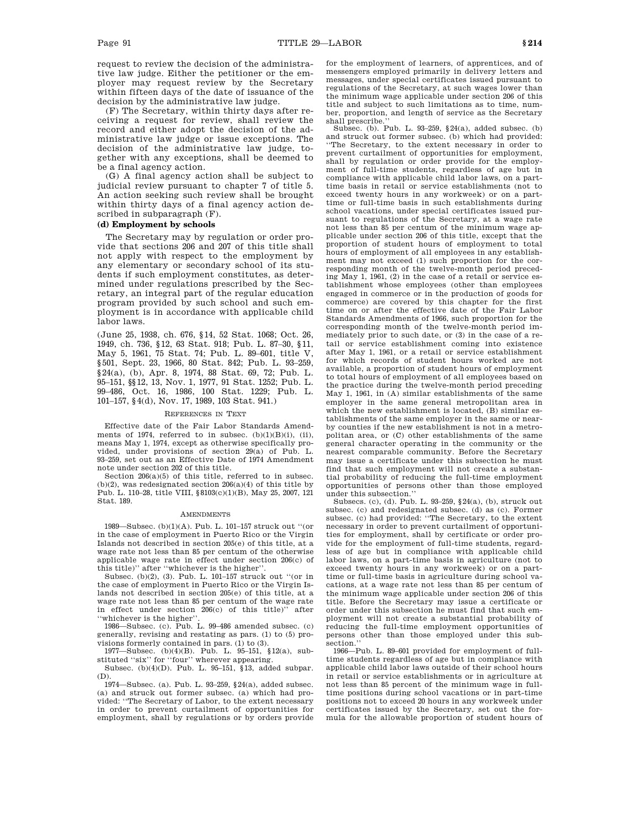request to review the decision of the administrative law judge. Either the petitioner or the employer may request review by the Secretary within fifteen days of the date of issuance of the decision by the administrative law judge.

(F) The Secretary, within thirty days after receiving a request for review, shall review the record and either adopt the decision of the administrative law judge or issue exceptions. The decision of the administrative law judge, together with any exceptions, shall be deemed to be a final agency action.

(G) A final agency action shall be subject to judicial review pursuant to chapter 7 of title 5. An action seeking such review shall be brought within thirty days of a final agency action described in subparagraph (F).

# **(d) Employment by schools**

The Secretary may by regulation or order provide that sections 206 and 207 of this title shall not apply with respect to the employment by any elementary or secondary school of its students if such employment constitutes, as determined under regulations prescribed by the Secretary, an integral part of the regular education program provided by such school and such employment is in accordance with applicable child labor laws.

(June 25, 1938, ch. 676, §14, 52 Stat. 1068; Oct. 26, 1949, ch. 736, §12, 63 Stat. 918; Pub. L. 87–30, §11, May 5, 1961, 75 Stat. 74; Pub. L. 89–601, title V, §501, Sept. 23, 1966, 80 Stat. 842; Pub. L. 93–259, §24(a), (b), Apr. 8, 1974, 88 Stat. 69, 72; Pub. L. 95–151, §§12, 13, Nov. 1, 1977, 91 Stat. 1252; Pub. L. 99–486, Oct. 16, 1986, 100 Stat. 1229; Pub. L. 101–157, §4(d), Nov. 17, 1989, 103 Stat. 941.)

### REFERENCES IN TEXT

Effective date of the Fair Labor Standards Amendments of 1974, referred to in subsec. (b)(1)(B)(i), (ii), means May 1, 1974, except as otherwise specifically provided, under provisions of section 29(a) of Pub. L. 93–259, set out as an Effective Date of 1974 Amendment note under section 202 of this title.

Section 206(a)(5) of this title, referred to in subsec.  $(b)(2)$ , was redesignated section  $206(a)(4)$  of this title by Pub. L. 110–28, title VIII, §8103(c)(1)(B), May 25, 2007, 121 Stat. 189.

#### AMENDMENTS

1989—Subsec. (b)(1)(A). Pub. L. 101–157 struck out ''(or in the case of employment in Puerto Rico or the Virgin Islands not described in section 205(e) of this title, at a wage rate not less than 85 per centum of the otherwise applicable wage rate in effect under section 206(c) of this title)" after "whichever is the higher"

Subsec. (b)(2), (3). Pub. L. 101–157 struck out ''(or in the case of employment in Puerto Rico or the Virgin Islands not described in section 205(e) of this title, at a wage rate not less than 85 per centum of the wage rate in effect under section 206(c) of this title)'' after ''whichever is the higher''.

1986—Subsec. (c). Pub. L. 99–486 amended subsec. (c) generally, revising and restating as pars. (1) to (5) provisions formerly contained in pars. (1) to (3).

1977—Subsec. (b)(4)(B). Pub. L. 95–151, §12(a), substituted ''six'' for ''four'' wherever appearing.

Subsec. (b)(4)(D). Pub. L. 95–151, §13, added subpar. (D).

1974—Subsec. (a). Pub. L. 93–259, §24(a), added subsec. (a) and struck out former subsec. (a) which had provided: ''The Secretary of Labor, to the extent necessary in order to prevent curtailment of opportunities for employment, shall by regulations or by orders provide for the employment of learners, of apprentices, and of messengers employed primarily in delivery letters and messages, under special certificates issued pursuant to regulations of the Secretary, at such wages lower than the minimum wage applicable under section 206 of this title and subject to such limitations as to time, number, proportion, and length of service as the Secretary

shall prescribe.'' Subsec. (b). Pub. L. 93–259, §24(a), added subsec. (b) and struck out former subsec. (b) which had provided: ''The Secretary, to the extent necessary in order to prevent curtailment of opportunities for employment, shall by regulation or order provide for the employment of full-time students, regardless of age but in compliance with applicable child labor laws, on a parttime basis in retail or service establishments (not to exceed twenty hours in any workweek) or on a parttime or full-time basis in such establishments during school vacations, under special certificates issued pursuant to regulations of the Secretary, at a wage rate not less than 85 per centum of the minimum wage applicable under section 206 of this title, except that the proportion of student hours of employment to total hours of employment of all employees in any establishment may not exceed (1) such proportion for the corresponding month of the twelve-month period preceding May 1, 1961, (2) in the case of a retail or service establishment whose employees (other than employees engaged in commerce or in the production of goods for commerce) are covered by this chapter for the first time on or after the effective date of the Fair Labor Standards Amendments of 1966, such proportion for the corresponding month of the twelve-month period immediately prior to such date, or (3) in the case of a retail or service establishment coming into existence after May 1, 1961, or a retail or service establishment for which records of student hours worked are not available, a proportion of student hours of employment to total hours of employment of all employees based on the practice during the twelve-month period preceding May 1, 1961, in (A) similar establishments of the same employer in the same general metropolitan area in which the new establishment is located, (B) similar establishments of the same employer in the same or nearby counties if the new establishment is not in a metropolitan area, or (C) other establishments of the same general character operating in the community or the nearest comparable community. Before the Secretary may issue a certificate under this subsection he must find that such employment will not create a substantial probability of reducing the full-time employment opportunities of persons other than those employed under this subsection.''

Subsecs. (c), (d). Pub. L. 93–259, §24(a), (b), struck out subsec. (c) and redesignated subsec. (d) as (c). Former subsec. (c) had provided: ''The Secretary, to the extent necessary in order to prevent curtailment of opportunities for employment, shall by certificate or order provide for the employment of full-time students, regardless of age but in compliance with applicable child labor laws, on a part-time basis in agriculture (not to exceed twenty hours in any workweek) or on a parttime or full-time basis in agriculture during school vacations, at a wage rate not less than 85 per centum of the minimum wage applicable under section 206 of this title. Before the Secretary may issue a certificate or order under this subsection he must find that such employment will not create a substantial probability of reducing the full-time employment opportunities of persons other than those employed under this subsection.''

1966—Pub. L. 89–601 provided for employment of fulltime students regardless of age but in compliance with applicable child labor laws outside of their school hours in retail or service establishments or in agriculture at not less than 85 percent of the minimum wage in fulltime positions during school vacations or in part-time positions not to exceed 20 hours in any workweek under certificates issued by the Secretary, set out the formula for the allowable proportion of student hours of